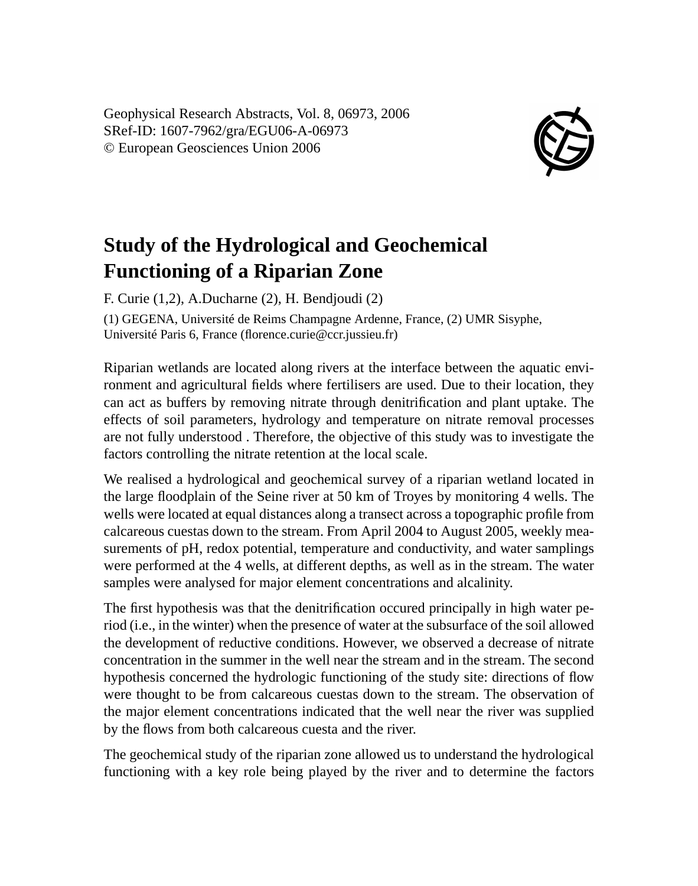Geophysical Research Abstracts, Vol. 8, 06973, 2006 SRef-ID: 1607-7962/gra/EGU06-A-06973 © European Geosciences Union 2006



## **Study of the Hydrological and Geochemical Functioning of a Riparian Zone**

F. Curie (1,2), A.Ducharne (2), H. Bendjoudi (2) (1) GEGENA, Université de Reims Champagne Ardenne, France, (2) UMR Sisyphe, Université Paris 6, France (florence.curie@ccr.jussieu.fr)

Riparian wetlands are located along rivers at the interface between the aquatic environment and agricultural fields where fertilisers are used. Due to their location, they can act as buffers by removing nitrate through denitrification and plant uptake. The effects of soil parameters, hydrology and temperature on nitrate removal processes are not fully understood . Therefore, the objective of this study was to investigate the factors controlling the nitrate retention at the local scale.

We realised a hydrological and geochemical survey of a riparian wetland located in the large floodplain of the Seine river at 50 km of Troyes by monitoring 4 wells. The wells were located at equal distances along a transect across a topographic profile from calcareous cuestas down to the stream. From April 2004 to August 2005, weekly measurements of pH, redox potential, temperature and conductivity, and water samplings were performed at the 4 wells, at different depths, as well as in the stream. The water samples were analysed for major element concentrations and alcalinity.

The first hypothesis was that the denitrification occured principally in high water period (i.e., in the winter) when the presence of water at the subsurface of the soil allowed the development of reductive conditions. However, we observed a decrease of nitrate concentration in the summer in the well near the stream and in the stream. The second hypothesis concerned the hydrologic functioning of the study site: directions of flow were thought to be from calcareous cuestas down to the stream. The observation of the major element concentrations indicated that the well near the river was supplied by the flows from both calcareous cuesta and the river.

The geochemical study of the riparian zone allowed us to understand the hydrological functioning with a key role being played by the river and to determine the factors